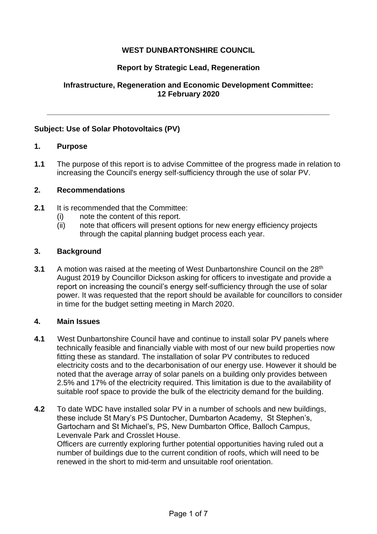# **WEST DUNBARTONSHIRE COUNCIL**

# **Report by Strategic Lead, Regeneration**

# **Infrastructure, Regeneration and Economic Development Committee: 12 February 2020**

**\_\_\_\_\_\_\_\_\_\_\_\_\_\_\_\_\_\_\_\_\_\_\_\_\_\_\_\_\_\_\_\_\_\_\_\_\_\_\_\_\_\_\_\_\_\_\_\_\_\_\_\_\_\_\_\_\_\_\_\_\_\_\_\_\_\_\_**

# **Subject: Use of Solar Photovoltaics (PV)**

## **1. Purpose**

**1.1** The purpose of this report is to advise Committee of the progress made in relation to increasing the Council's energy self-sufficiency through the use of solar PV.

## **2. Recommendations**

- **2.1** It is recommended that the Committee:
	- (i) note the content of this report.
	- (ii) note that officers will present options for new energy efficiency projects through the capital planning budget process each year.

## **3. Background**

**3.1** A motion was raised at the meeting of West Dunbartonshire Council on the 28<sup>th</sup> August 2019 by Councillor Dickson asking for officers to investigate and provide a report on increasing the council's energy self-sufficiency through the use of solar power. It was requested that the report should be available for councillors to consider in time for the budget setting meeting in March 2020.

#### **4. Main Issues**

- **4.1** West Dunbartonshire Council have and continue to install solar PV panels where technically feasible and financially viable with most of our new build properties now fitting these as standard. The installation of solar PV contributes to reduced electricity costs and to the decarbonisation of our energy use. However it should be noted that the average array of solar panels on a building only provides between 2.5% and 17% of the electricity required. This limitation is due to the availability of suitable roof space to provide the bulk of the electricity demand for the building.
- **4.2** To date WDC have installed solar PV in a number of schools and new buildings, these include St Mary's PS Duntocher, Dumbarton Academy, St Stephen's, Gartocharn and St Michael's, PS, New Dumbarton Office, Balloch Campus, Levenvale Park and Crosslet House.

Officers are currently exploring further potential opportunities having ruled out a number of buildings due to the current condition of roofs, which will need to be renewed in the short to mid-term and unsuitable roof orientation.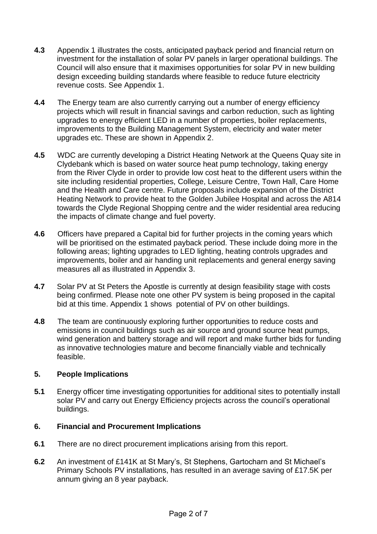- **4.3** Appendix 1 illustrates the costs, anticipated payback period and financial return on investment for the installation of solar PV panels in larger operational buildings. The Council will also ensure that it maximises opportunities for solar PV in new building design exceeding building standards where feasible to reduce future electricity revenue costs. See Appendix 1.
- **4.4** The Energy team are also currently carrying out a number of energy efficiency projects which will result in financial savings and carbon reduction, such as lighting upgrades to energy efficient LED in a number of properties, boiler replacements, improvements to the Building Management System, electricity and water meter upgrades etc. These are shown in Appendix 2.
- **4.5** WDC are currently developing a District Heating Network at the Queens Quay site in Clydebank which is based on water source heat pump technology, taking energy from the River Clyde in order to provide low cost heat to the different users within the site including residential properties, College, Leisure Centre, Town Hall, Care Home and the Health and Care centre. Future proposals include expansion of the District Heating Network to provide heat to the Golden Jubilee Hospital and across the A814 towards the Clyde Regional Shopping centre and the wider residential area reducing the impacts of climate change and fuel poverty.
- **4.6** Officers have prepared a Capital bid for further projects in the coming years which will be prioritised on the estimated payback period. These include doing more in the following areas; lighting upgrades to LED lighting, heating controls upgrades and improvements, boiler and air handing unit replacements and general energy saving measures all as illustrated in Appendix 3.
- **4.7** Solar PV at St Peters the Apostle is currently at design feasibility stage with costs being confirmed. Please note one other PV system is being proposed in the capital bid at this time. Appendix 1 shows potential of PV on other buildings.
- **4.8** The team are continuously exploring further opportunities to reduce costs and emissions in council buildings such as air source and ground source heat pumps, wind generation and battery storage and will report and make further bids for funding as innovative technologies mature and become financially viable and technically feasible.

# **5. People Implications**

**5.1** Energy officer time investigating opportunities for additional sites to potentially install solar PV and carry out Energy Efficiency projects across the council's operational buildings.

# **6. Financial and Procurement Implications**

- **6.1** There are no direct procurement implications arising from this report.
- **6.2** An investment of £141K at St Mary's, St Stephens, Gartocharn and St Michael's Primary Schools PV installations, has resulted in an average saving of £17.5K per annum giving an 8 year payback.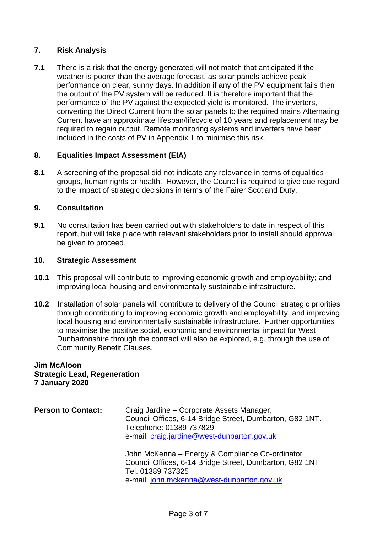# **7. Risk Analysis**

**7.1** There is a risk that the energy generated will not match that anticipated if the weather is poorer than the average forecast, as solar panels achieve peak performance on clear, sunny days. In addition if any of the PV equipment fails then the output of the PV system will be reduced. It is therefore important that the performance of the PV against the expected yield is monitored. The inverters, converting the Direct Current from the solar panels to the required mains Alternating Current have an approximate lifespan/lifecycle of 10 years and replacement may be required to regain output. Remote monitoring systems and inverters have been included in the costs of PV in Appendix 1 to minimise this risk.

# **8. Equalities Impact Assessment (EIA)**

**8.1** A screening of the proposal did not indicate any relevance in terms of equalities groups, human rights or health. However, the Council is required to give due regard to the impact of strategic decisions in terms of the Fairer Scotland Duty.

# **9. Consultation**

**9.1** No consultation has been carried out with stakeholders to date in respect of this report, but will take place with relevant stakeholders prior to install should approval be given to proceed.

## **10. Strategic Assessment**

- **10.1** This proposal will contribute to improving economic growth and employability; and improving local housing and environmentally sustainable infrastructure.
- **10.2** Installation of solar panels will contribute to delivery of the Council strategic priorities through contributing to improving economic growth and employability; and improving local housing and environmentally sustainable infrastructure. Further opportunities to maximise the positive social, economic and environmental impact for West Dunbartonshire through the contract will also be explored, e.g. through the use of Community Benefit Clauses.

## **Jim McAloon Strategic Lead, Regeneration 7 January 2020**

| <b>Person to Contact:</b> | Craig Jardine – Corporate Assets Manager,<br>Council Offices, 6-14 Bridge Street, Dumbarton, G82 1NT.<br>Telephone: 01389 737829<br>e-mail: craig.jardine@west-dunbarton.gov.uk |  |  |  |  |
|---------------------------|---------------------------------------------------------------------------------------------------------------------------------------------------------------------------------|--|--|--|--|
|                           | John McKenna - Energy & Compliance Co-ordinator<br>Council Offices, 6-14 Bridge Street, Dumbarton, G82 1NT<br>Tel. 01389 737325<br>e-mail: john.mckenna@west-dunbarton.gov.uk   |  |  |  |  |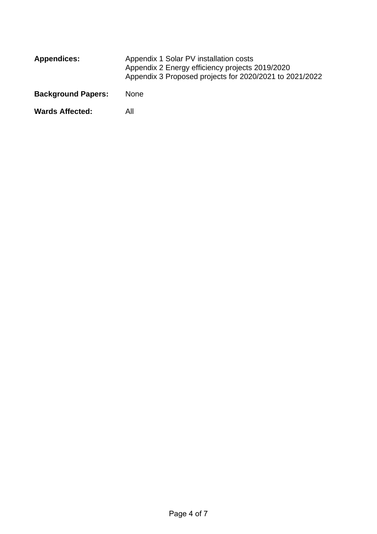| <b>Appendices:</b>        | Appendix 1 Solar PV installation costs<br>Appendix 2 Energy efficiency projects 2019/2020<br>Appendix 3 Proposed projects for 2020/2021 to 2021/2022 |  |  |  |
|---------------------------|------------------------------------------------------------------------------------------------------------------------------------------------------|--|--|--|
| <b>Background Papers:</b> | <b>None</b>                                                                                                                                          |  |  |  |
| <b>Wards Affected:</b>    | Αll                                                                                                                                                  |  |  |  |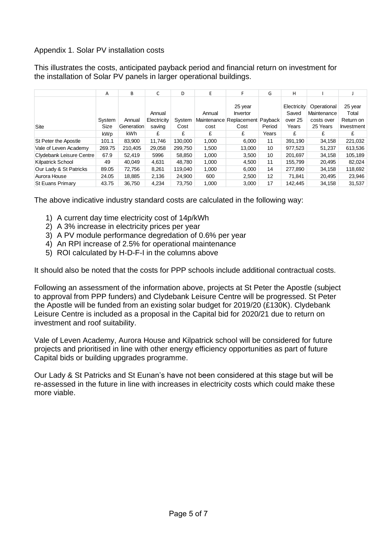# Appendix 1. Solar PV installation costs

This illustrates the costs, anticipated payback period and financial return on investment for the installation of Solar PV panels in larger operational buildings.

|                          | Α          | В          | C           | D       | E      | F                       | G       | н           |             |            |
|--------------------------|------------|------------|-------------|---------|--------|-------------------------|---------|-------------|-------------|------------|
|                          |            |            |             |         |        | 25 year                 |         | Electricity | Operational | 25 year    |
|                          |            |            | Annual      |         | Annual | <b>Invertor</b>         |         | Saved       | Maintenance | Total      |
|                          | System     | Annual     | Electricity | System  |        | Maintenance Replacement | Payback | over 25     | costs over  | Return on  |
| Site                     | Size       | Generation | saving      | Cost    | cost   | Cost                    | Period  | Years       | 25 Years    | Investment |
|                          | <b>kWp</b> | kWh.       | £           | £       | £      | £                       | Years   | £           | £           | £          |
| St Peter the Apostle     | 101.1      | 83,900     | 11.746      | 130,000 | 1,000  | 6,000                   | 11      | 391.190     | 34,158      | 221,032    |
| Vale of Leven Academy    | 269.75     | 210.405    | 29.058      | 299,750 | 1,500  | 13,000                  | 10      | 977.523     | 51,237      | 613,536    |
| Clydebank Leisure Centre | 67.9       | 52.419     | 5996        | 58,850  | 1,000  | 3.500                   | 10      | 201,697     | 34,158      | 105,189    |
| <b>Kilpatrick School</b> | 49         | 40.049     | 4,631       | 48.780  | 1,000  | 4,500                   | 11      | 155.799     | 20,495      | 82,024     |
| Our Lady & St Patricks   | 89.05      | 72.756     | 8.261       | 119.040 | 1,000  | 6,000                   | 14      | 277.890     | 34,158      | 118,692    |
| Aurora House             | 24.05      | 18.885     | 2.136       | 24.900  | 600    | 2,500                   | 12      | 71.841      | 20,495      | 23,946     |
| <b>St Euans Primary</b>  | 43.75      | 36.750     | 4.234       | 73.750  | 1,000  | 3,000                   | 17      | 142.445     | 34,158      | 31,537     |

The above indicative industry standard costs are calculated in the following way:

- 1) A current day time electricity cost of 14p/kWh
- 2) A 3% increase in electricity prices per year
- 3) A PV module performance degredation of 0.6% per year
- 4) An RPI increase of 2.5% for operational maintenance
- 5) ROI calculated by H-D-F-I in the columns above

It should also be noted that the costs for PPP schools include additional contractual costs.

Following an assessment of the information above, projects at St Peter the Apostle (subject to approval from PPP funders) and Clydebank Leisure Centre will be progressed. St Peter the Apostle will be funded from an existing solar budget for 2019/20 (£130K). Clydebank Leisure Centre is included as a proposal in the Capital bid for 2020/21 due to return on investment and roof suitability.

Vale of Leven Academy, Aurora House and Kilpatrick school will be considered for future projects and prioritised in line with other energy efficiency opportunities as part of future Capital bids or building upgrades programme.

Our Lady & St Patricks and St Eunan's have not been considered at this stage but will be re-assessed in the future in line with increases in electricity costs which could make these more viable.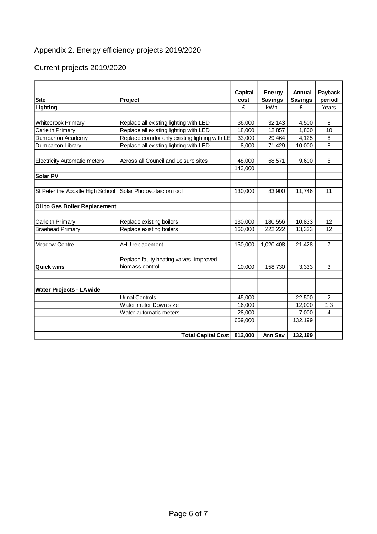# Appendix 2. Energy efficiency projects 2019/2020

# Current projects 2019/2020

|                                     |                                                           | <b>Capital</b> | <b>Energy</b>  | Annual         | Payback        |  |
|-------------------------------------|-----------------------------------------------------------|----------------|----------------|----------------|----------------|--|
| <b>Site</b>                         | Project                                                   | cost           | <b>Savings</b> | <b>Savings</b> | period         |  |
| Lighting                            |                                                           | £              | kWh            | £              | Years          |  |
|                                     |                                                           |                |                |                |                |  |
| Whitecrook Primary                  | Replace all existing lighting with LED                    | 36,000         | 32,143         | 4,500          | 8              |  |
| Carleith Primary                    | Replace all existing lighting with LED                    | 18,000         | 12,857         | 1,800          | 10             |  |
| Dumbarton Academy                   | Replace corridor only existing lighting with LE           | 33,000         | 29,464         | 4,125          | 8              |  |
| Dumbarton Library                   | Replace all existing lighting with LED<br>8,000<br>71,429 |                | 10,000         | 8              |                |  |
|                                     |                                                           |                |                |                |                |  |
| <b>Electricity Automatic meters</b> | Across all Council and Leisure sites                      | 48,000         | 68,571         | 9,600          | 5              |  |
|                                     |                                                           | 143,000        |                |                |                |  |
| <b>Solar PV</b>                     |                                                           |                |                |                |                |  |
|                                     |                                                           |                |                |                |                |  |
| St Peter the Apostle High School    | Solar Photovoltaic on roof                                | 130,000        | 83,900         | 11,746         | 11             |  |
|                                     |                                                           |                |                |                |                |  |
| Oil to Gas Boiler Replacement       |                                                           |                |                |                |                |  |
|                                     |                                                           |                |                |                |                |  |
| Carleith Primary                    | Replace existing boilers                                  | 130,000        | 180,556        | 10,833         | 12             |  |
| <b>Braehead Primary</b>             | Replace existing boilers                                  | 160,000        | 222,222        | 13,333         | 12             |  |
|                                     |                                                           |                |                |                |                |  |
| <b>Meadow Centre</b>                | AHU replacement                                           | 150,000        | 1,020,408      | 21,428         | $\overline{7}$ |  |
|                                     | Replace faulty heating valves, improved                   |                |                |                |                |  |
| <b>Quick wins</b>                   | biomass control                                           | 10,000         | 158,730        | 3,333          | 3              |  |
|                                     |                                                           |                |                |                |                |  |
|                                     |                                                           |                |                |                |                |  |
| Water Projects - LA wide            |                                                           |                |                |                |                |  |
|                                     | <b>Urinal Controls</b>                                    | 45,000         |                | 22,500         | $\overline{2}$ |  |
|                                     | Water meter Down size                                     | 16,000         |                | 12,000         | 1.3            |  |
|                                     | Water automatic meters                                    | 28,000         |                | 7,000          | 4              |  |
|                                     |                                                           | 669,000        |                | 132,199        |                |  |
|                                     |                                                           |                |                |                |                |  |
|                                     | <b>Total Capital Cost</b>                                 | 812,000        | Ann Sav        | 132,199        |                |  |